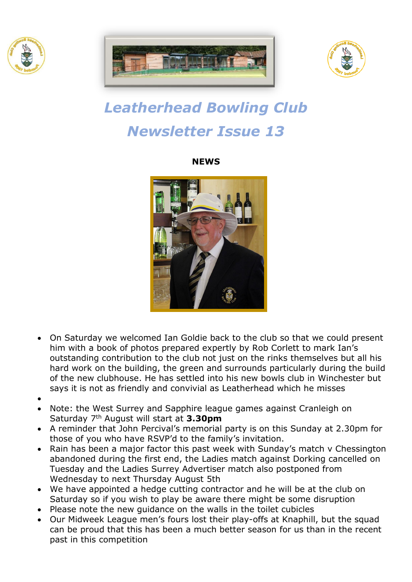





# *Leatherhead Bowling Club Newsletter Issue 13*

**NEWS**



- On Saturday we welcomed Ian Goldie back to the club so that we could present him with a book of photos prepared expertly by Rob Corlett to mark Ian's outstanding contribution to the club not just on the rinks themselves but all his hard work on the building, the green and surrounds particularly during the build of the new clubhouse. He has settled into his new bowls club in Winchester but says it is not as friendly and convivial as Leatherhead which he misses
- •
- Note: the West Surrey and Sapphire league games against Cranleigh on Saturday 7 th August will start at **3.30pm**
- A reminder that John Percival's memorial party is on this Sunday at 2.30pm for those of you who have RSVP'd to the family's invitation.
- Rain has been a major factor this past week with Sunday's match v Chessington abandoned during the first end, the Ladies match against Dorking cancelled on Tuesday and the Ladies Surrey Advertiser match also postponed from Wednesday to next Thursday August 5th
- We have appointed a hedge cutting contractor and he will be at the club on Saturday so if you wish to play be aware there might be some disruption
- Please note the new guidance on the walls in the toilet cubicles
- Our Midweek League men's fours lost their play-offs at Knaphill, but the squad can be proud that this has been a much better season for us than in the recent past in this competition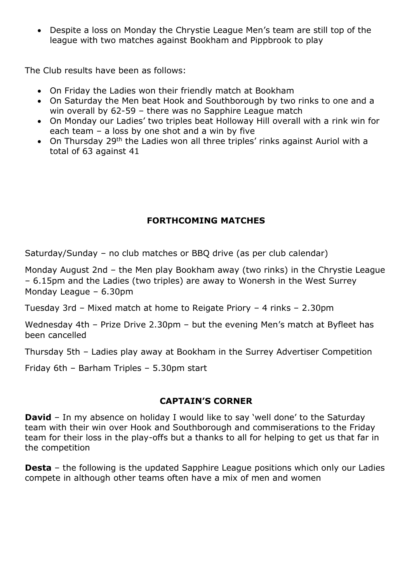• Despite a loss on Monday the Chrystie League Men's team are still top of the league with two matches against Bookham and Pippbrook to play

The Club results have been as follows:

- On Friday the Ladies won their friendly match at Bookham
- On Saturday the Men beat Hook and Southborough by two rinks to one and a win overall by 62-59 – there was no Sapphire League match
- On Monday our Ladies' two triples beat Holloway Hill overall with a rink win for each team – a loss by one shot and a win by five
- On Thursday 29<sup>th</sup> the Ladies won all three triples' rinks against Auriol with a total of 63 against 41

## **FORTHCOMING MATCHES**

Saturday/Sunday – no club matches or BBQ drive (as per club calendar)

Monday August 2nd – the Men play Bookham away (two rinks) in the Chrystie League – 6.15pm and the Ladies (two triples) are away to Wonersh in the West Surrey Monday League – 6.30pm

Tuesday 3rd – Mixed match at home to Reigate Priory – 4 rinks – 2.30pm

Wednesday 4th – Prize Drive 2.30pm – but the evening Men's match at Byfleet has been cancelled

Thursday 5th – Ladies play away at Bookham in the Surrey Advertiser Competition

Friday 6th – Barham Triples – 5.30pm start

### **CAPTAIN'S CORNER**

**David** – In my absence on holiday I would like to say 'well done' to the Saturday team with their win over Hook and Southborough and commiserations to the Friday team for their loss in the play-offs but a thanks to all for helping to get us that far in the competition

**Desta** – the following is the updated Sapphire League positions which only our Ladies compete in although other teams often have a mix of men and women